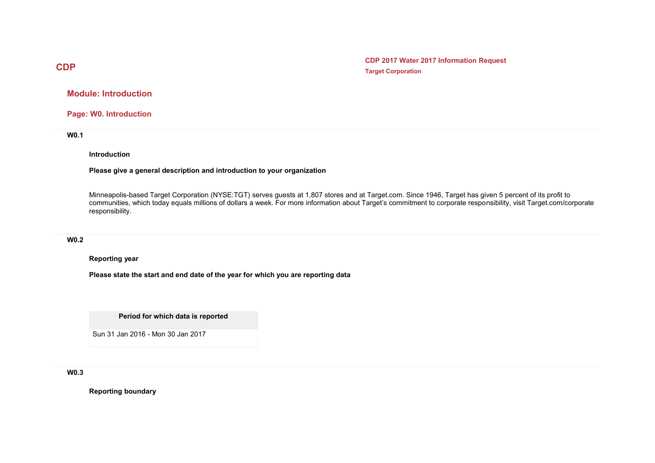**CDP 2017 Water 2017 Information Request Target Corporation**

**Module: Introduction**

**Page: W0. Introduction**

**W0.1** 

### **Introduction**

### **Please give a general description and introduction to your organization**

Minneapolis-based Target Corporation (NYSE:TGT) serves guests at 1,807 stores and at Target.com. Since 1946, Target has given 5 percent of its profit to communities, which today equals millions of dollars a week. For more information about Target's commitment to corporate responsibility, visit Target.com/corporate responsibility.

## **W0.2**

### **Reporting year**

**Please state the start and end date of the year for which you are reporting data**

**Period for which data is reported**

Sun 31 Jan 2016 - Mon 30 Jan 2017

**W0.3** 

**Reporting boundary**

# **CDP**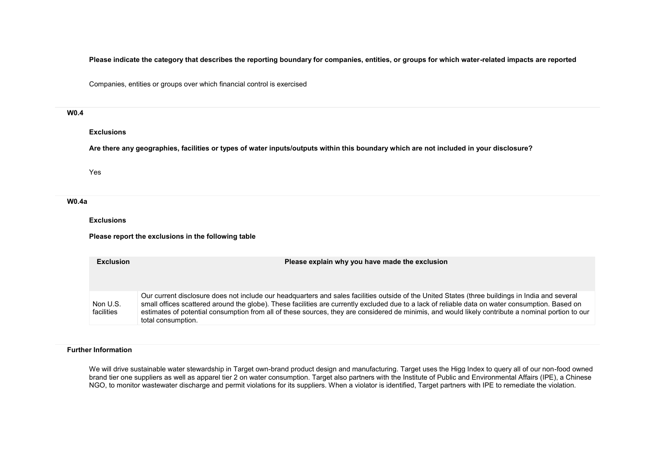**Please indicate the category that describes the reporting boundary for companies, entities, or groups for which water-related impacts are reported**

Companies, entities or groups over which financial control is exercised

### **W0.4**

### **Exclusions**

**Are there any geographies, facilities or types of water inputs/outputs within this boundary which are not included in your disclosure?**

Yes

#### **W0.4a**

**Exclusions**

**Please report the exclusions in the following table**

| <b>Exclusion</b>       | Please explain why you have made the exclusion                                                                                                                                                                                                                                                                                                                                                                                                                                   |  |  |
|------------------------|----------------------------------------------------------------------------------------------------------------------------------------------------------------------------------------------------------------------------------------------------------------------------------------------------------------------------------------------------------------------------------------------------------------------------------------------------------------------------------|--|--|
| Non U.S.<br>facilities | Our current disclosure does not include our headquarters and sales facilities outside of the United States (three buildings in India and several<br>small offices scattered around the globe). These facilities are currently excluded due to a lack of reliable data on water consumption. Based on<br>estimates of potential consumption from all of these sources, they are considered de minimis, and would likely contribute a nominal portion to our<br>total consumption. |  |  |

### **Further Information**

We will drive sustainable water stewardship in Target own-brand product design and manufacturing. Target uses the Higg Index to query all of our non-food owned brand tier one suppliers as well as apparel tier 2 on water consumption. Target also partners with the Institute of Public and Environmental Affairs (IPE), a Chinese NGO, to monitor wastewater discharge and permit violations for its suppliers. When a violator is identified, Target partners with IPE to remediate the violation.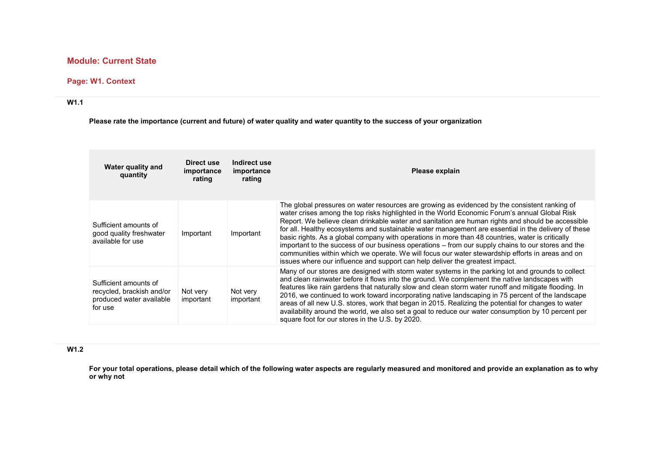# **Module: Current State**

# **Page: W1. Context**

## **W1.1**

**Please rate the importance (current and future) of water quality and water quantity to the success of your organization**

| Water quality and<br>quantity                                                             | Direct use<br>importance<br>rating | Indirect use<br>importance<br>rating | Please explain                                                                                                                                                                                                                                                                                                                                                                                                                                                                                                                                                                                                                                                                                                                                                                                           |
|-------------------------------------------------------------------------------------------|------------------------------------|--------------------------------------|----------------------------------------------------------------------------------------------------------------------------------------------------------------------------------------------------------------------------------------------------------------------------------------------------------------------------------------------------------------------------------------------------------------------------------------------------------------------------------------------------------------------------------------------------------------------------------------------------------------------------------------------------------------------------------------------------------------------------------------------------------------------------------------------------------|
| Sufficient amounts of<br>good quality freshwater<br>available for use                     | Important                          | Important                            | The global pressures on water resources are growing as evidenced by the consistent ranking of<br>water crises among the top risks highlighted in the World Economic Forum's annual Global Risk<br>Report. We believe clean drinkable water and sanitation are human rights and should be accessible<br>for all. Healthy ecosystems and sustainable water management are essential in the delivery of these<br>basic rights. As a global company with operations in more than 48 countries, water is critically<br>important to the success of our business operations - from our supply chains to our stores and the<br>communities within which we operate. We will focus our water stewardship efforts in areas and on<br>issues where our influence and support can help deliver the greatest impact. |
| Sufficient amounts of<br>recycled, brackish and/or<br>produced water available<br>for use | Not very<br>important              | Not very<br>important                | Many of our stores are designed with storm water systems in the parking lot and grounds to collect<br>and clean rainwater before it flows into the ground. We complement the native landscapes with<br>features like rain gardens that naturally slow and clean storm water runoff and mitigate flooding. In<br>2016, we continued to work toward incorporating native landscaping in 75 percent of the landscape<br>areas of all new U.S. stores, work that began in 2015. Realizing the potential for changes to water<br>availability around the world, we also set a goal to reduce our water consumption by 10 percent per<br>square foot for our stores in the U.S. by 2020.                                                                                                                       |

## **W1.2**

**For your total operations, please detail which of the following water aspects are regularly measured and monitored and provide an explanation as to why or why not**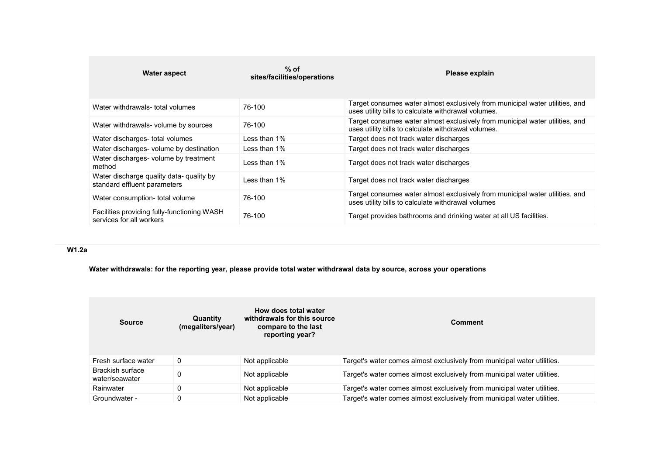| Water aspect                                                             | $%$ of<br>sites/facilities/operations | Please explain                                                                                                                      |
|--------------------------------------------------------------------------|---------------------------------------|-------------------------------------------------------------------------------------------------------------------------------------|
| Water withdrawals- total volumes                                         | 76-100                                | Target consumes water almost exclusively from municipal water utilities, and<br>uses utility bills to calculate withdrawal volumes. |
| Water withdrawals- volume by sources                                     | 76-100                                | Target consumes water almost exclusively from municipal water utilities, and<br>uses utility bills to calculate withdrawal volumes. |
| Water discharges- total volumes                                          | Less than $1\%$                       | Target does not track water discharges                                                                                              |
| Water discharges- volume by destination                                  | Less than $1\%$                       | Target does not track water discharges                                                                                              |
| Water discharges- volume by treatment<br>method                          | Less than 1%                          | Target does not track water discharges                                                                                              |
| Water discharge quality data- quality by<br>standard effluent parameters | Less than 1%                          | Target does not track water discharges                                                                                              |
| Water consumption- total volume                                          | 76-100                                | Target consumes water almost exclusively from municipal water utilities, and<br>uses utility bills to calculate withdrawal volumes  |
| Facilities providing fully-functioning WASH<br>services for all workers  | 76-100                                | Target provides bathrooms and drinking water at all US facilities.                                                                  |

# **W1.2a**

**Water withdrawals: for the reporting year, please provide total water withdrawal data by source, across your operations**

| <b>Source</b>                      | Quantity<br>(megaliters/year) | How does total water<br>withdrawals for this source<br>compare to the last<br>reporting year? | <b>Comment</b>                                                          |
|------------------------------------|-------------------------------|-----------------------------------------------------------------------------------------------|-------------------------------------------------------------------------|
| Fresh surface water                | 0                             | Not applicable                                                                                | Target's water comes almost exclusively from municipal water utilities. |
| Brackish surface<br>water/seawater |                               | Not applicable                                                                                | Target's water comes almost exclusively from municipal water utilities. |
| Rainwater                          | 0                             | Not applicable                                                                                | Target's water comes almost exclusively from municipal water utilities. |
| Groundwater -                      | 0                             | Not applicable                                                                                | Target's water comes almost exclusively from municipal water utilities. |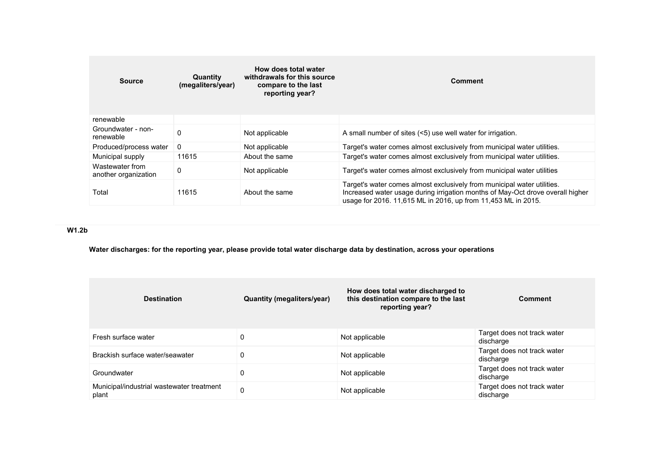| <b>Source</b>                           | Quantity<br>(megaliters/year) | How does total water<br>withdrawals for this source<br>compare to the last<br>reporting year? | <b>Comment</b>                                                                                                                                                                                                             |
|-----------------------------------------|-------------------------------|-----------------------------------------------------------------------------------------------|----------------------------------------------------------------------------------------------------------------------------------------------------------------------------------------------------------------------------|
| renewable                               |                               |                                                                                               |                                                                                                                                                                                                                            |
| Groundwater - non-<br>renewable         | 0                             | Not applicable                                                                                | A small number of sites (<5) use well water for irrigation.                                                                                                                                                                |
| Produced/process water                  | $\mathbf{0}$                  | Not applicable                                                                                | Target's water comes almost exclusively from municipal water utilities.                                                                                                                                                    |
| Municipal supply                        | 11615                         | About the same                                                                                | Target's water comes almost exclusively from municipal water utilities.                                                                                                                                                    |
| Wastewater from<br>another organization | 0                             | Not applicable                                                                                | Target's water comes almost exclusively from municipal water utilities                                                                                                                                                     |
| Total                                   | 11615                         | About the same                                                                                | Target's water comes almost exclusively from municipal water utilities.<br>Increased water usage during irrigation months of May-Oct drove overall higher<br>usage for 2016. 11,615 ML in 2016, up from 11,453 ML in 2015. |

## **W1.2b**

**Water discharges: for the reporting year, please provide total water discharge data by destination, across your operations**

| <b>Destination</b>                                 | <b>Quantity (megaliters/year)</b> | How does total water discharged to<br>this destination compare to the last<br>reporting year? | <b>Comment</b>                           |
|----------------------------------------------------|-----------------------------------|-----------------------------------------------------------------------------------------------|------------------------------------------|
| Fresh surface water                                | 0                                 | Not applicable                                                                                | Target does not track water<br>discharge |
| Brackish surface water/seawater                    | 0                                 | Not applicable                                                                                | Target does not track water<br>discharge |
| Groundwater                                        | 0                                 | Not applicable                                                                                | Target does not track water<br>discharge |
| Municipal/industrial wastewater treatment<br>plant | 0                                 | Not applicable                                                                                | Target does not track water<br>discharge |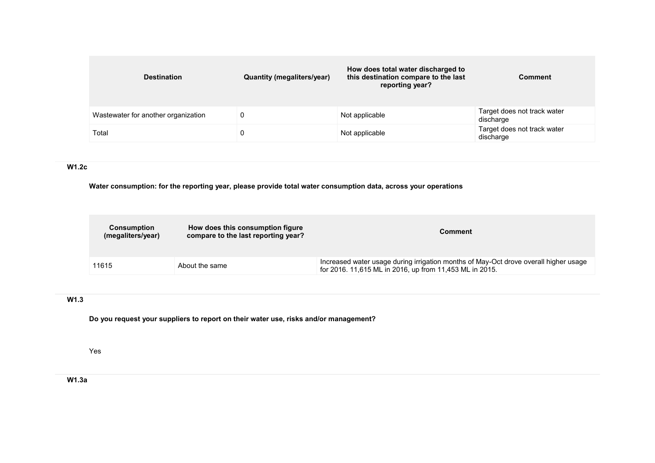| <b>Destination</b>                  | Quantity (megaliters/year) | How does total water discharged to<br>this destination compare to the last<br>reporting year? | <b>Comment</b>                           |
|-------------------------------------|----------------------------|-----------------------------------------------------------------------------------------------|------------------------------------------|
| Wastewater for another organization |                            | Not applicable                                                                                | Target does not track water<br>discharge |
| Total                               |                            | Not applicable                                                                                | Target does not track water<br>discharge |

# **W1.2c**

**Water consumption: for the reporting year, please provide total water consumption data, across your operations**

| Consumption<br>(megaliters/year) | How does this consumption figure<br>compare to the last reporting year? | Comment                                                                                                                                         |
|----------------------------------|-------------------------------------------------------------------------|-------------------------------------------------------------------------------------------------------------------------------------------------|
| 11615                            | About the same                                                          | Increased water usage during irrigation months of May-Oct drove overall higher usage<br>for 2016. 11,615 ML in 2016, up from 11,453 ML in 2015. |

## **W1.3**

**Do you request your suppliers to report on their water use, risks and/or management?**

Yes

**W1.3a**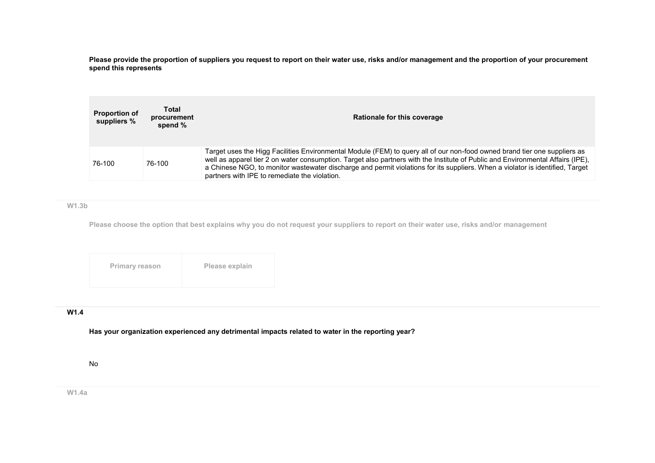**Please provide the proportion of suppliers you request to report on their water use, risks and/or management and the proportion of your procurement spend this represents**

| <b>Proportion of</b><br>suppliers % | Total<br>procurement<br>spend $%$ | Rationale for this coverage                                                                                                                                                                                                                                                                                                                                                                                                                    |  |  |
|-------------------------------------|-----------------------------------|------------------------------------------------------------------------------------------------------------------------------------------------------------------------------------------------------------------------------------------------------------------------------------------------------------------------------------------------------------------------------------------------------------------------------------------------|--|--|
| 76-100                              | 76-100                            | Target uses the Higg Facilities Environmental Module (FEM) to guery all of our non-food owned brand tier one suppliers as<br>well as apparel tier 2 on water consumption. Target also partners with the Institute of Public and Environmental Affairs (IPE),<br>a Chinese NGO, to monitor wastewater discharge and permit violations for its suppliers. When a violator is identified, Target<br>partners with IPE to remediate the violation. |  |  |

**W1.3b**

**Please choose the option that best explains why you do not request your suppliers to report on their water use, risks and/or management**

| Please explain<br><b>Primary reason</b> |
|-----------------------------------------|
|-----------------------------------------|

## **W1.4**

**Has your organization experienced any detrimental impacts related to water in the reporting year?**

No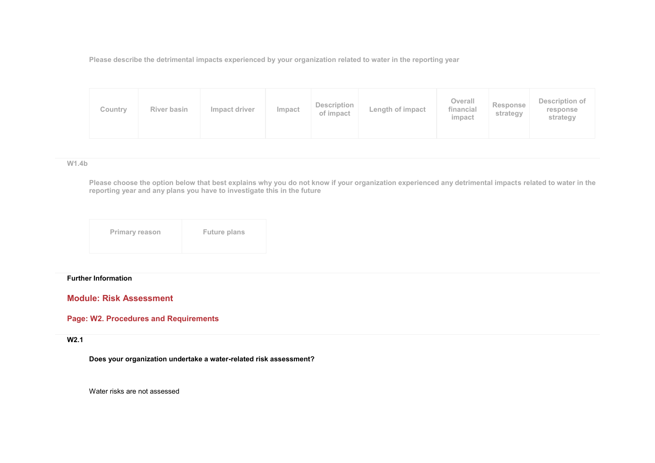**Please describe the detrimental impacts experienced by your organization related to water in the reporting year**

| Description<br>River basin<br>Impact driver<br>Impact<br>Country<br>of impact | Length of impact | Overall<br>financial<br>impact | Response<br>strategy | Description of<br>response<br>strategy |
|-------------------------------------------------------------------------------|------------------|--------------------------------|----------------------|----------------------------------------|
|-------------------------------------------------------------------------------|------------------|--------------------------------|----------------------|----------------------------------------|

### **W1.4b**

**Please choose the option below that best explains why you do not know if your organization experienced any detrimental impacts related to water in the reporting year and any plans you have to investigate this in the future**

| <b>Primary reason</b> | <b>Future plans</b> |
|-----------------------|---------------------|
|                       |                     |

### **Further Information**

**Module: Risk Assessment** 

## **Page: W2. Procedures and Requirements**

### **W2.1**

**Does your organization undertake a water-related risk assessment?**

Water risks are not assessed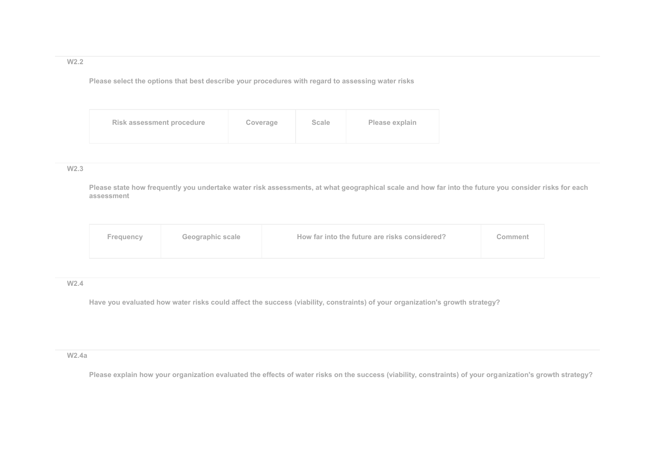## **W2.2**

**Please select the options that best describe your procedures with regard to assessing water risks**

| Risk assessment procedure | Coverage | <b>Scale</b> | Please explain |
|---------------------------|----------|--------------|----------------|
|---------------------------|----------|--------------|----------------|

## **W2.3**

**Please state how frequently you undertake water risk assessments, at what geographical scale and how far into the future you consider risks for each assessment**

| Frequency | Geographic scale | How far into the future are risks considered? | Comment |
|-----------|------------------|-----------------------------------------------|---------|
|           |                  |                                               |         |

## **W2.4**

**Have you evaluated how water risks could affect the success (viability, constraints) of your organization's growth strategy?**

### **W2.4a**

**Please explain how your organization evaluated the effects of water risks on the success (viability, constraints) of your organization's growth strategy?**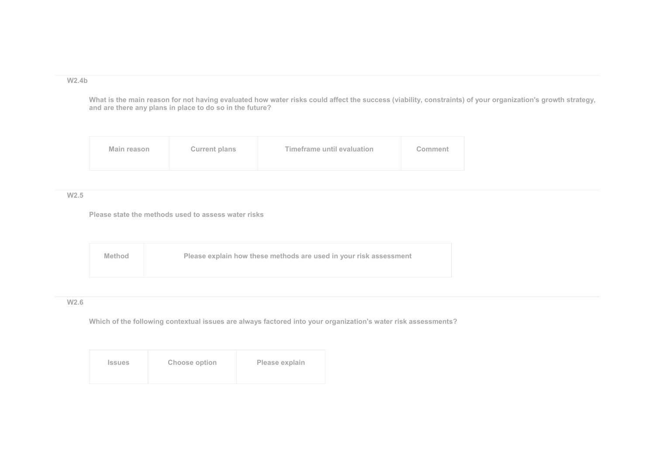### **W2.4b**

**What is the main reason for not having evaluated how water risks could affect the success (viability, constraints) of your organization's growth strategy, and are there any plans in place to do so in the future?**

| <b>Current plans</b><br>Main reason | Timeframe until evaluation | Comment |
|-------------------------------------|----------------------------|---------|
|-------------------------------------|----------------------------|---------|

### **W2.5**

**Please state the methods used to assess water risks**

| <b>Method</b> | Please explain how these methods are used in your risk assessment |
|---------------|-------------------------------------------------------------------|
|               |                                                                   |

## **W2.6**

**Which of the following contextual issues are always factored into your organization's water risk assessments?**

| <b>Issues</b> | Choose option | Please explain |
|---------------|---------------|----------------|
|---------------|---------------|----------------|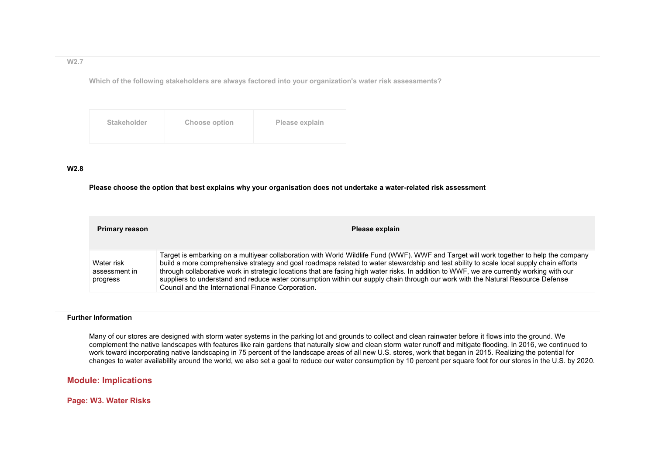### **W2.7**

**Which of the following stakeholders are always factored into your organization's water risk assessments?**

### **W2.8**

### **Please choose the option that best explains why your organisation does not undertake a water-related risk assessment**

| <b>Primary reason</b>                   | Please explain                                                                                                                                                                                                                                                                                                                                                                                                                                                                                                                                                                                                          |
|-----------------------------------------|-------------------------------------------------------------------------------------------------------------------------------------------------------------------------------------------------------------------------------------------------------------------------------------------------------------------------------------------------------------------------------------------------------------------------------------------------------------------------------------------------------------------------------------------------------------------------------------------------------------------------|
| Water risk<br>assessment in<br>progress | Target is embarking on a multiyear collaboration with World Wildlife Fund (WWF). WWF and Target will work together to help the company<br>build a more comprehensive strategy and goal roadmaps related to water stewardship and test ability to scale local supply chain efforts<br>through collaborative work in strategic locations that are facing high water risks. In addition to WWF, we are currently working with our<br>suppliers to understand and reduce water consumption within our supply chain through our work with the Natural Resource Defense<br>Council and the International Finance Corporation. |

### **Further Information**

Many of our stores are designed with storm water systems in the parking lot and grounds to collect and clean rainwater before it flows into the ground. We complement the native landscapes with features like rain gardens that naturally slow and clean storm water runoff and mitigate flooding. In 2016, we continued to work toward incorporating native landscaping in 75 percent of the landscape areas of all new U.S. stores, work that began in 2015. Realizing the potential for changes to water availability around the world, we also set a goal to reduce our water consumption by 10 percent per square foot for our stores in the U.S. by 2020.

# **Module: Implications**

**Page: W3. Water Risks**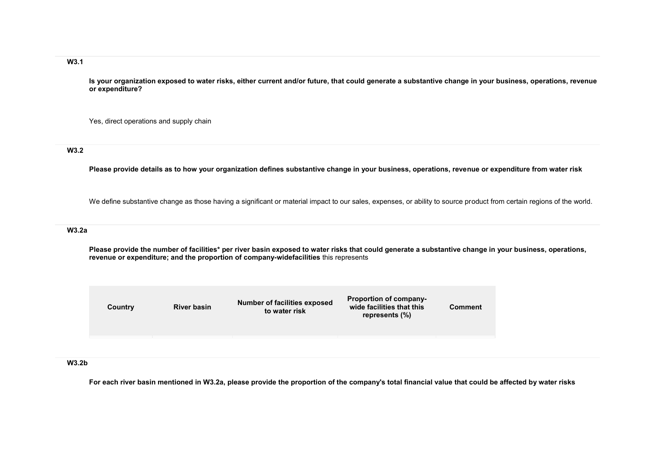## **W3.1**

**Is your organization exposed to water risks, either current and/or future, that could generate a substantive change in your business, operations, revenue or expenditure?**

Yes, direct operations and supply chain

## **W3.2**

**Please provide details as to how your organization defines substantive change in your business, operations, revenue or expenditure from water risk**

We define substantive change as those having a significant or material impact to our sales, expenses, or ability to source product from certain regions of the world.

### **W3.2a**

**Please provide the number of facilities\* per river basin exposed to water risks that could generate a substantive change in your business, operations, revenue or expenditure; and the proportion of company-widefacilities** this represents

| Country | <b>River basin</b> | <b>Number of facilities exposed</b><br>to water risk | <b>Proportion of company-</b><br>wide facilities that this<br>represents (%) | Comment |
|---------|--------------------|------------------------------------------------------|------------------------------------------------------------------------------|---------|
|         |                    |                                                      |                                                                              |         |
|         |                    |                                                      |                                                                              |         |

### **W3.2b**

**For each river basin mentioned in W3.2a, please provide the proportion of the company's total financial value that could be affected by water risks**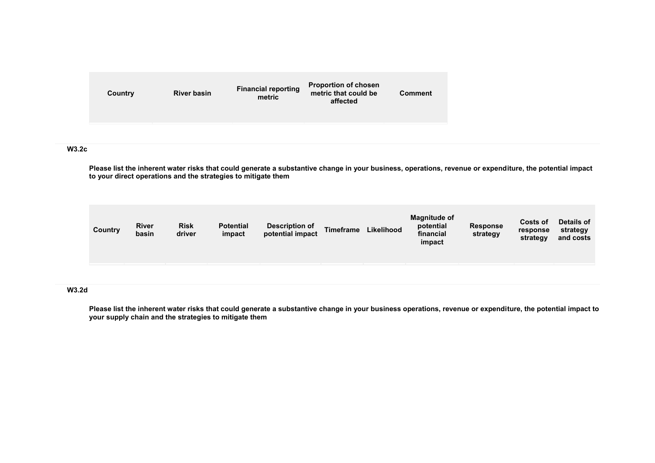| Country | <b>River basin</b> | <b>Financial reporting</b><br>metric | <b>Proportion of chosen</b><br>metric that could be<br>affected | <b>Comment</b> |
|---------|--------------------|--------------------------------------|-----------------------------------------------------------------|----------------|
|         |                    |                                      |                                                                 |                |

## **W3.2c**

**Please list the inherent water risks that could generate a substantive change in your business, operations, revenue or expenditure, the potential impact to your direct operations and the strategies to mitigate them**

| Country | <b>River</b><br>basin | <b>Risk</b><br>driver | <b>Potential</b><br>impact | <b>Description of</b><br>potential impact | <b>Timeframe</b> | Likelihood | <b>Magnitude of</b><br>potential<br>financial<br>impact | <b>Response</b><br>strategy | Costs of<br>response<br>strategy | Details of<br>strategy<br>and costs |
|---------|-----------------------|-----------------------|----------------------------|-------------------------------------------|------------------|------------|---------------------------------------------------------|-----------------------------|----------------------------------|-------------------------------------|
|         |                       |                       |                            |                                           |                  |            |                                                         |                             |                                  |                                     |

## **W3.2d**

**Please list the inherent water risks that could generate a substantive change in your business operations, revenue or expenditure, the potential impact to your supply chain and the strategies to mitigate them**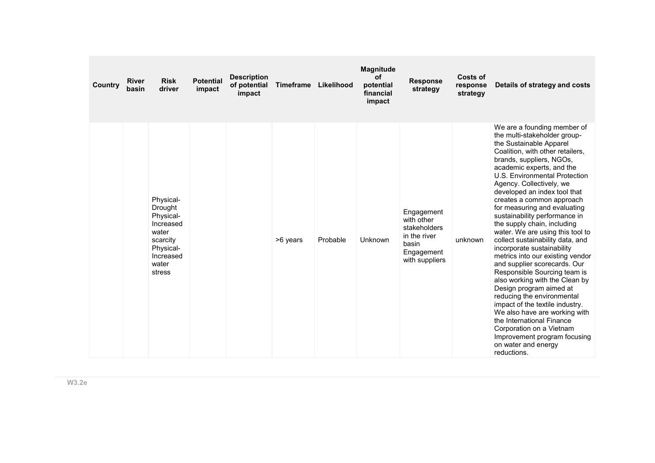| Country | <b>River</b><br>basin | <b>Risk</b><br>driver                                                                                            | <b>Potential</b><br>impact | <b>Description</b><br>of potential<br>impact | <b>Timeframe</b> | Likelihood | <b>Magnitude</b><br><b>of</b><br>potential<br>financial<br>impact | <b>Response</b><br>strategy                                                                       | Costs of<br>response<br>strategy | Details of strategy and costs                                                                                                                                                                                                                                                                                                                                                                                                                                                                                                                                                                                                                                                                                                                                                                                                                                                                                         |
|---------|-----------------------|------------------------------------------------------------------------------------------------------------------|----------------------------|----------------------------------------------|------------------|------------|-------------------------------------------------------------------|---------------------------------------------------------------------------------------------------|----------------------------------|-----------------------------------------------------------------------------------------------------------------------------------------------------------------------------------------------------------------------------------------------------------------------------------------------------------------------------------------------------------------------------------------------------------------------------------------------------------------------------------------------------------------------------------------------------------------------------------------------------------------------------------------------------------------------------------------------------------------------------------------------------------------------------------------------------------------------------------------------------------------------------------------------------------------------|
|         |                       | Physical-<br>Drought<br>Physical-<br>Increased<br>water<br>scarcity<br>Physical-<br>Increased<br>water<br>stress |                            |                                              | >6 years         | Probable   | Unknown                                                           | Engagement<br>with other<br>stakeholders<br>in the river<br>basin<br>Engagement<br>with suppliers | unknown                          | We are a founding member of<br>the multi-stakeholder group-<br>the Sustainable Apparel<br>Coalition, with other retailers,<br>brands, suppliers, NGOs,<br>academic experts, and the<br>U.S. Environmental Protection<br>Agency. Collectively, we<br>developed an index tool that<br>creates a common approach<br>for measuring and evaluating<br>sustainability performance in<br>the supply chain, including<br>water. We are using this tool to<br>collect sustainability data, and<br>incorporate sustainability<br>metrics into our existing vendor<br>and supplier scorecards. Our<br>Responsible Sourcing team is<br>also working with the Clean by<br>Design program aimed at<br>reducing the environmental<br>impact of the textile industry.<br>We also have are working with<br>the International Finance<br>Corporation on a Vietnam<br>Improvement program focusing<br>on water and energy<br>reductions. |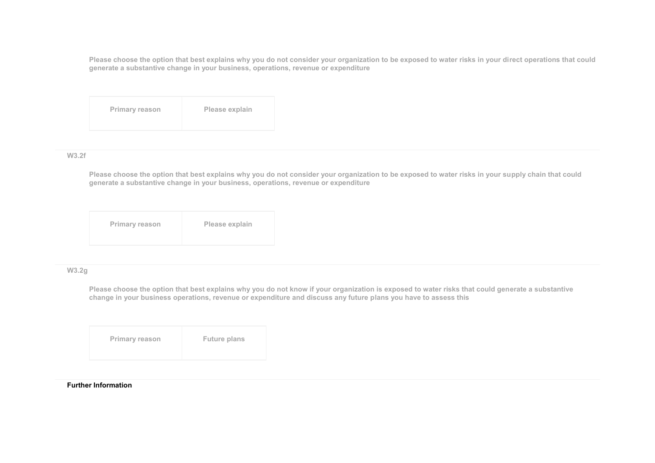**Please choose the option that best explains why you do not consider your organization to be exposed to water risks in your direct operations that could generate a substantive change in your business, operations, revenue or expenditure**

| <b>Primary reason</b> | Please explain |
|-----------------------|----------------|
|                       |                |

### **W3.2f**

**Please choose the option that best explains why you do not consider your organization to be exposed to water risks in your supply chain that could generate a substantive change in your business, operations, revenue or expenditure**

|  | Primary reason | Please explain |
|--|----------------|----------------|
|--|----------------|----------------|

## **W3.2g**

**Please choose the option that best explains why you do not know if your organization is exposed to water risks that could generate a substantive change in your business operations, revenue or expenditure and discuss any future plans you have to assess this**

| <b>Primary reason</b> | <b>Future plans</b> |
|-----------------------|---------------------|
|                       |                     |

#### **Further Information**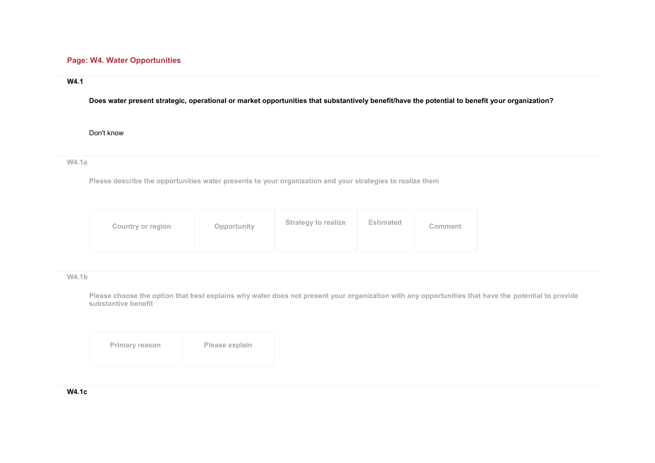# **Page: W4. Water Opportunities**

## **W4.1**

**Does water present strategic, operational or market opportunities that substantively benefit/have the potential to benefit your organization?**

Don't know

**W4.1a** 

**Please describe the opportunities water presents to your organization and your strategies to realize them**

| Opportunity<br>Country or region | <b>Strategy to realize</b> | <b>Estimated</b> | <b>Comment</b> |
|----------------------------------|----------------------------|------------------|----------------|
|----------------------------------|----------------------------|------------------|----------------|

**W4.1b** 

**Please choose the option that best explains why water does not present your organization with any opportunities that have the potential to provide substantive benefit**

| <b>Primary reason</b> | Please explain |
|-----------------------|----------------|
|                       |                |

### **W4.1c**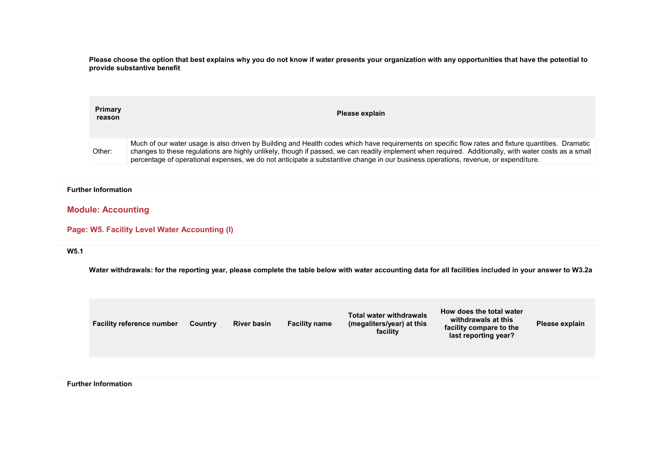**Please choose the option that best explains why you do not know if water presents your organization with any opportunities that have the potential to provide substantive benefit**

| Primary<br>reason | Please explain                                                                                                                                                                                                                                                                                                                                                                                                                                     |
|-------------------|----------------------------------------------------------------------------------------------------------------------------------------------------------------------------------------------------------------------------------------------------------------------------------------------------------------------------------------------------------------------------------------------------------------------------------------------------|
| Other:            | Much of our water usage is also driven by Building and Health codes which have reguirements on specific flow rates and fixture quantities. Dramatic<br>changes to these regulations are highly unlikely, though if passed, we can readily implement when required. Additionally, with water costs as a small<br>percentage of operational expenses, we do not anticipate a substantive change in our business operations, revenue, or expenditure. |

### **Further Information**

# **Module: Accounting**

### **Page: W5. Facility Level Water Accounting (I)**

### **W5.1**

**Water withdrawals: for the reporting year, please complete the table below with water accounting data for all facilities included in your answer to W3.2a**

| facility<br>last reporting year? | How does the total water<br><b>Total water withdrawals</b><br>withdrawals at this<br><b>River basin</b><br><b>Facility name</b><br>Please explain<br><b>Facility reference number</b><br>(megaliters/year) at this<br>Country<br>facility compare to the |
|----------------------------------|----------------------------------------------------------------------------------------------------------------------------------------------------------------------------------------------------------------------------------------------------------|
|----------------------------------|----------------------------------------------------------------------------------------------------------------------------------------------------------------------------------------------------------------------------------------------------------|

**Further Information**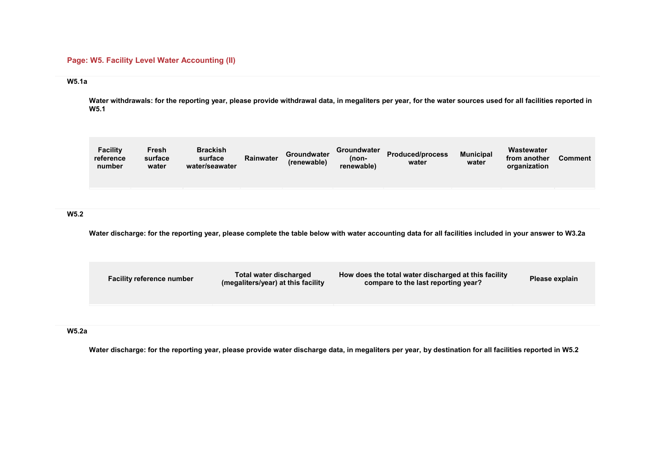# **Page: W5. Facility Level Water Accounting (II)**

### **W5.1a**

**Water withdrawals: for the reporting year, please provide withdrawal data, in megaliters per year, for the water sources used for all facilities reported in W5.1**

| <b>Facility</b><br>reference<br>number | Fresh<br>surface<br>water | <b>Brackish</b><br>surface<br>water/seawater | Rainwater | <b>Groundwater</b><br>(renewable) | Groundwater<br>(non-<br>renewable) | <b>Produced/process</b><br>water | <b>Municipal</b><br>water | Wastewater<br>from another<br>organization | <b>Comment</b> |
|----------------------------------------|---------------------------|----------------------------------------------|-----------|-----------------------------------|------------------------------------|----------------------------------|---------------------------|--------------------------------------------|----------------|
|                                        |                           |                                              |           |                                   |                                    |                                  |                           |                                            |                |

## **W5.2**

**Water discharge: for the reporting year, please complete the table below with water accounting data for all facilities included in your answer to W3.2a**

| <b>Facility reference number</b> | Total water discharged<br>(megaliters/year) at this facility | How does the total water discharged at this facility<br>compare to the last reporting year? | Please explain |
|----------------------------------|--------------------------------------------------------------|---------------------------------------------------------------------------------------------|----------------|
|                                  |                                                              |                                                                                             |                |

## **W5.2a**

**Water discharge: for the reporting year, please provide water discharge data, in megaliters per year, by destination for all facilities reported in W5.2**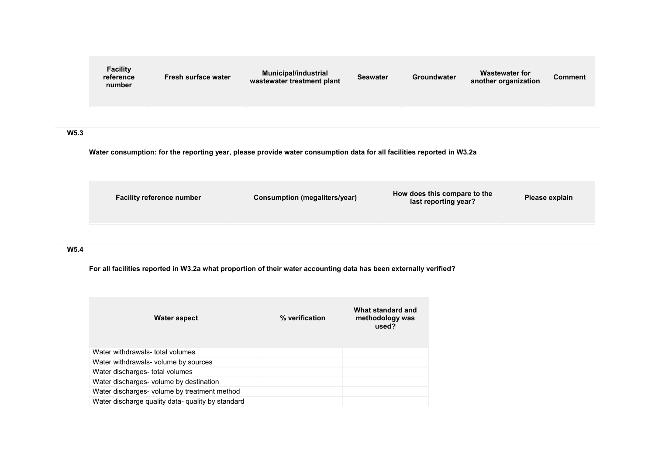

**Water consumption: for the reporting year, please provide water consumption data for all facilities reported in W3.2a**



## **W5.4**

**For all facilities reported in W3.2a what proportion of their water accounting data has been externally verified?**

| Water aspect                                      | % verification | What standard and<br>methodology was<br>used? |
|---------------------------------------------------|----------------|-----------------------------------------------|
| Water withdrawals- total volumes                  |                |                                               |
| Water withdrawals- volume by sources              |                |                                               |
| Water discharges- total volumes                   |                |                                               |
| Water discharges- volume by destination           |                |                                               |
| Water discharges- volume by treatment method      |                |                                               |
| Water discharge quality data- quality by standard |                |                                               |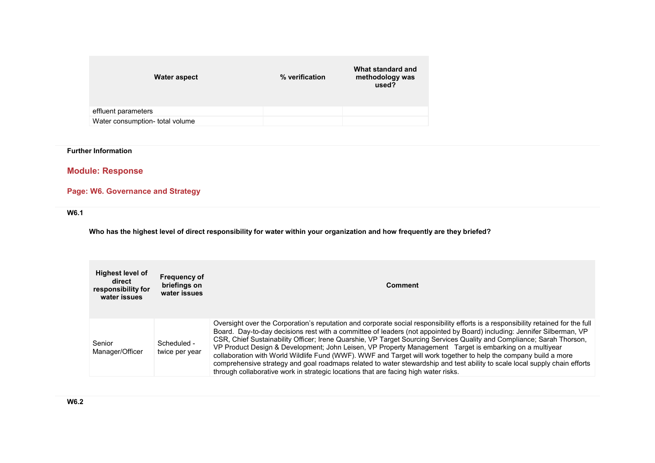| Water aspect                    | % verification | What standard and<br>methodology was<br>used? |
|---------------------------------|----------------|-----------------------------------------------|
| effluent parameters             |                |                                               |
| Water consumption- total volume |                |                                               |

**Further Information** 

**Module: Response** 

**Page: W6. Governance and Strategy** 

**W6.1** 

**Who has the highest level of direct responsibility for water within your organization and how frequently are they briefed?**

| <b>Highest level of</b><br>direct<br>responsibility for<br>water issues | <b>Frequency of</b><br>briefings on<br>water issues | <b>Comment</b>                                                                                                                                                                                                                                                                                                                                                                                                                                                                                                                                                                                                                                                                                                                                                                                                                            |
|-------------------------------------------------------------------------|-----------------------------------------------------|-------------------------------------------------------------------------------------------------------------------------------------------------------------------------------------------------------------------------------------------------------------------------------------------------------------------------------------------------------------------------------------------------------------------------------------------------------------------------------------------------------------------------------------------------------------------------------------------------------------------------------------------------------------------------------------------------------------------------------------------------------------------------------------------------------------------------------------------|
| Senior<br>Manager/Officer                                               | Scheduled -<br>twice per year                       | Oversight over the Corporation's reputation and corporate social responsibility efforts is a responsibility retained for the full<br>Board. Day-to-day decisions rest with a committee of leaders (not appointed by Board) including: Jennifer Silberman, VP<br>CSR, Chief Sustainability Officer; Irene Quarshie, VP Target Sourcing Services Quality and Compliance; Sarah Thorson,<br>VP Product Design & Development; John Leisen, VP Property Management Target is embarking on a multiyear<br>collaboration with World Wildlife Fund (WWF). WWF and Target will work together to help the company build a more<br>comprehensive strategy and goal roadmaps related to water stewardship and test ability to scale local supply chain efforts<br>through collaborative work in strategic locations that are facing high water risks. |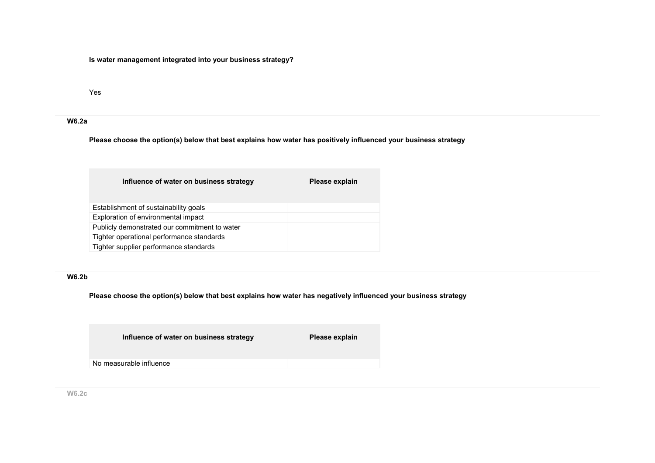**Is water management integrated into your business strategy?**

Yes

# **W6.2a**

**Please choose the option(s) below that best explains how water has positively influenced your business strategy**

| Influence of water on business strategy       | Please explain |
|-----------------------------------------------|----------------|
| Establishment of sustainability goals         |                |
| Exploration of environmental impact           |                |
| Publicly demonstrated our commitment to water |                |
| Tighter operational performance standards     |                |
| Tighter supplier performance standards        |                |

## **W6.2b**

**Please choose the option(s) below that best explains how water has negatively influenced your business strategy**

| Influence of water on business strategy | Please explain |
|-----------------------------------------|----------------|
| No measurable influence                 |                |
|                                         |                |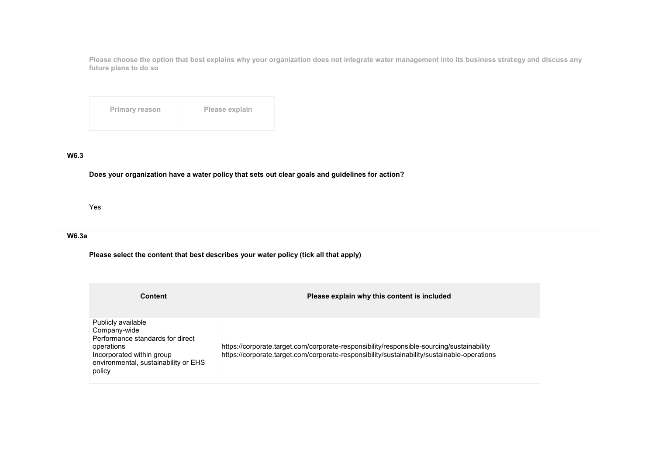**Please choose the option that best explains why your organization does not integrate water management into its business strategy and discuss any future plans to do so**

| <b>Primary reason</b> | Please explain |
|-----------------------|----------------|
|                       |                |

## **W6.3**

**Does your organization have a water policy that sets out clear goals and guidelines for action?**

Yes

## **W6.3a**

**Please select the content that best describes your water policy (tick all that apply)**

| <b>Content</b>                                                                                                                                                      | Please explain why this content is included                                                                                                                                              |
|---------------------------------------------------------------------------------------------------------------------------------------------------------------------|------------------------------------------------------------------------------------------------------------------------------------------------------------------------------------------|
| Publicly available<br>Company-wide<br>Performance standards for direct<br>operations<br>Incorporated within group<br>environmental, sustainability or EHS<br>policy | https://corporate.target.com/corporate-responsibility/responsible-sourcing/sustainability<br>https://corporate.target.com/corporate-responsibility/sustainability/sustainable-operations |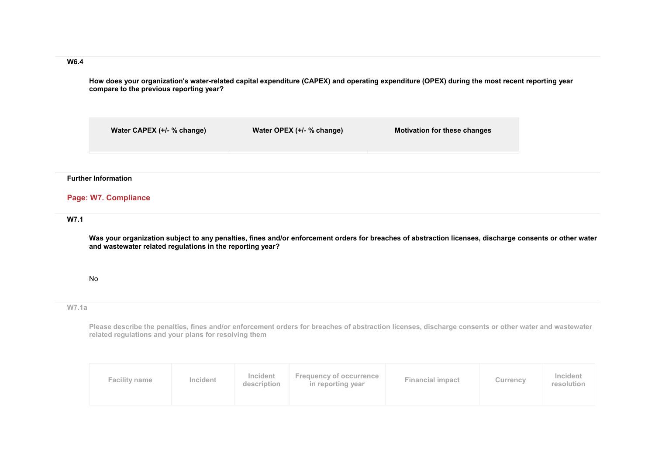**W6.4** 

**How does your organization's water-related capital expenditure (CAPEX) and operating expenditure (OPEX) during the most recent reporting year compare to the previous reporting year?**

**Water CAPEX (+/- % change) Water OPEX (+/- % change) Motivation for these changes**

### **Further Information**

# **Page: W7. Compliance**

## **W7.1**

**Was your organization subject to any penalties, fines and/or enforcement orders for breaches of abstraction licenses, discharge consents or other water and wastewater related regulations in the reporting year?**

### No

#### **W7.1a**

**Please describe the penalties, fines and/or enforcement orders for breaches of abstraction licenses, discharge consents or other water and wastewater related regulations and your plans for resolving them**

| <b>Facility name</b> | Incident | Incident<br>description | <b>Frequency of occurrence</b><br>in reporting year | <b>Financial impact</b> | Currency | Incident<br>resolution |
|----------------------|----------|-------------------------|-----------------------------------------------------|-------------------------|----------|------------------------|
|----------------------|----------|-------------------------|-----------------------------------------------------|-------------------------|----------|------------------------|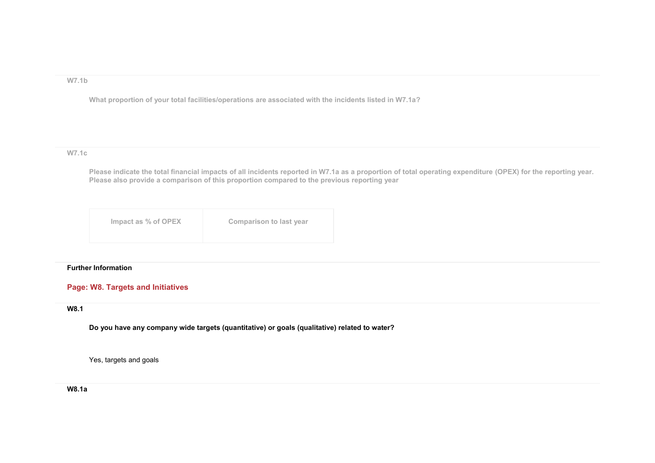### **W7.1b**

**What proportion of your total facilities/operations are associated with the incidents listed in W7.1a?**

## **W7.1c**

**Please indicate the total financial impacts of all incidents reported in W7.1a as a proportion of total operating expenditure (OPEX) for the reporting year. Please also provide a comparison of this proportion compared to the previous reporting year**

| Impact as % of OPEX | <b>Comparison to last year</b> |
|---------------------|--------------------------------|
|                     |                                |

### **Further Information**

## **Page: W8. Targets and Initiatives**

# **W8.1**

**Do you have any company wide targets (quantitative) or goals (qualitative) related to water?**

Yes, targets and goals

**W8.1a**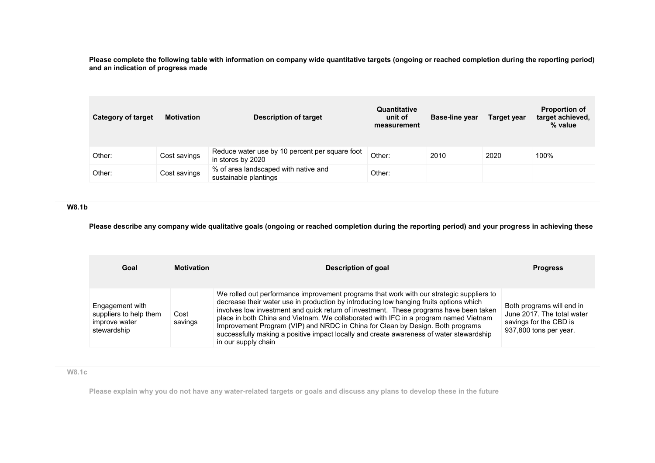**Please complete the following table with information on company wide quantitative targets (ongoing or reached completion during the reporting period) and an indication of progress made**

| <b>Category of target</b> | <b>Motivation</b> | <b>Description of target</b>                                        | Quantitative<br>unit of<br>measurement | <b>Base-line year</b> | Target year | <b>Proportion of</b><br>target achieved,<br>% value |
|---------------------------|-------------------|---------------------------------------------------------------------|----------------------------------------|-----------------------|-------------|-----------------------------------------------------|
| Other:                    | Cost savings      | Reduce water use by 10 percent per square foot<br>in stores by 2020 | Other:                                 | 2010                  | 2020        | 100%                                                |
| Other:                    | Cost savings      | % of area landscaped with native and<br>sustainable plantings       | Other:                                 |                       |             |                                                     |

## **W8.1b**

**Please describe any company wide qualitative goals (ongoing or reached completion during the reporting period) and your progress in achieving these**

| Goal                                                                      | <b>Motivation</b> | Description of goal                                                                                                                                                                                                                                                                                                                                                                                                                                                                                                                                                      | <b>Progress</b>                                                                                             |
|---------------------------------------------------------------------------|-------------------|--------------------------------------------------------------------------------------------------------------------------------------------------------------------------------------------------------------------------------------------------------------------------------------------------------------------------------------------------------------------------------------------------------------------------------------------------------------------------------------------------------------------------------------------------------------------------|-------------------------------------------------------------------------------------------------------------|
| Engagement with<br>suppliers to help them<br>improve water<br>stewardship | Cost<br>savings   | We rolled out performance improvement programs that work with our strategic suppliers to<br>decrease their water use in production by introducing low hanging fruits options which<br>involves low investment and quick return of investment. These programs have been taken<br>place in both China and Vietnam. We collaborated with IFC in a program named Vietnam<br>Improvement Program (VIP) and NRDC in China for Clean by Design. Both programs<br>successfully making a positive impact locally and create awareness of water stewardship<br>in our supply chain | Both programs will end in<br>June 2017. The total water<br>savings for the CBD is<br>937,800 tons per year. |

# **W8.1c**

**Please explain why you do not have any water-related targets or goals and discuss any plans to develop these in the future**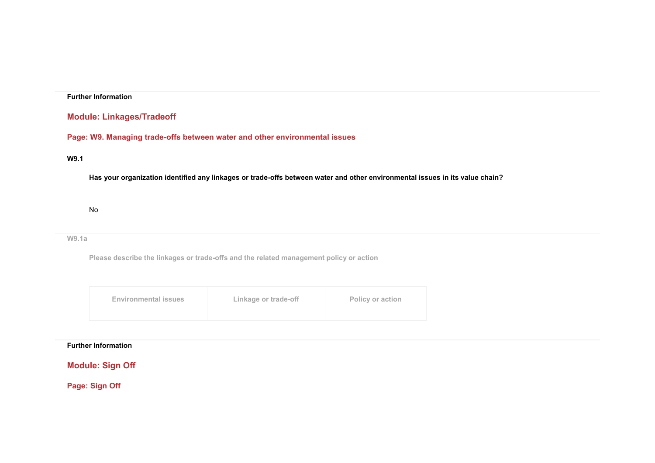## **Further Information**

# **Module: Linkages/Tradeoff**

# **Page: W9. Managing trade-offs between water and other environmental issues**

## **W9.1**

**Has your organization identified any linkages or trade-offs between water and other environmental issues in its value chain?**

No

### **W9.1a**

**Please describe the linkages or trade-offs and the related management policy or action**

| Linkage or trade-off<br>Policy or action<br><b>Environmental issues</b> |  |
|-------------------------------------------------------------------------|--|
|-------------------------------------------------------------------------|--|

## **Further Information**

**Module: Sign Off** 

**Page: Sign Off**